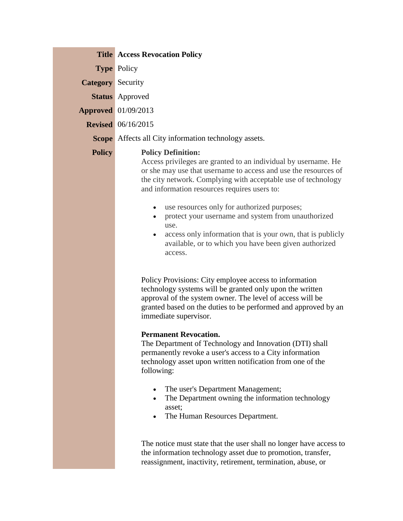|                          | <b>Title   Access Revocation Policy</b>                                                                                                                                                                                                                                                                                                                                                                                                                                                                                                                                                                                                                                                                                                                                                                                        |
|--------------------------|--------------------------------------------------------------------------------------------------------------------------------------------------------------------------------------------------------------------------------------------------------------------------------------------------------------------------------------------------------------------------------------------------------------------------------------------------------------------------------------------------------------------------------------------------------------------------------------------------------------------------------------------------------------------------------------------------------------------------------------------------------------------------------------------------------------------------------|
|                          | <b>Type Policy</b>                                                                                                                                                                                                                                                                                                                                                                                                                                                                                                                                                                                                                                                                                                                                                                                                             |
| <b>Category</b> Security |                                                                                                                                                                                                                                                                                                                                                                                                                                                                                                                                                                                                                                                                                                                                                                                                                                |
|                          | <b>Status</b> Approved                                                                                                                                                                                                                                                                                                                                                                                                                                                                                                                                                                                                                                                                                                                                                                                                         |
|                          | <b>Approved</b> 01/09/2013                                                                                                                                                                                                                                                                                                                                                                                                                                                                                                                                                                                                                                                                                                                                                                                                     |
|                          | <b>Revised</b> 06/16/2015                                                                                                                                                                                                                                                                                                                                                                                                                                                                                                                                                                                                                                                                                                                                                                                                      |
|                          | <b>Scope</b> Affects all City information technology assets.                                                                                                                                                                                                                                                                                                                                                                                                                                                                                                                                                                                                                                                                                                                                                                   |
| <b>Policy</b>            | <b>Policy Definition:</b><br>Access privileges are granted to an individual by username. He<br>or she may use that username to access and use the resources of<br>the city network. Complying with acceptable use of technology<br>and information resources requires users to:<br>use resources only for authorized purposes;<br>$\bullet$<br>protect your username and system from unauthorized<br>use.<br>access only information that is your own, that is publicly<br>available, or to which you have been given authorized<br>access.<br>Policy Provisions: City employee access to information                                                                                                                                                                                                                          |
|                          | technology systems will be granted only upon the written<br>approval of the system owner. The level of access will be<br>granted based on the duties to be performed and approved by an<br>immediate supervisor.<br><b>Permanent Revocation.</b><br>The Department of Technology and Innovation (DTI) shall<br>permanently revoke a user's access to a City information<br>technology asset upon written notification from one of the<br>following:<br>The user's Department Management;<br>$\bullet$<br>The Department owning the information technology<br>$\bullet$<br>asset;<br>The Human Resources Department.<br>٠<br>The notice must state that the user shall no longer have access to<br>the information technology asset due to promotion, transfer,<br>reassignment, inactivity, retirement, termination, abuse, or |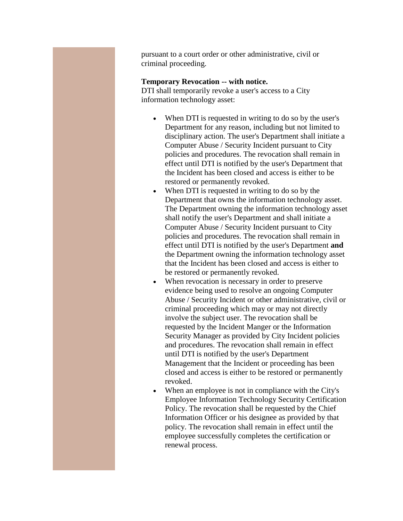pursuant to a court order or other administrative, civil or criminal proceeding.

## **Temporary Revocation -- with notice.**

DTI shall temporarily revoke a user's access to a City information technology asset:

- When DTI is requested in writing to do so by the user's Department for any reason, including but not limited to disciplinary action. The user's Department shall initiate a Computer Abuse / Security Incident pursuant to City policies and procedures. The revocation shall remain in effect until DTI is notified by the user's Department that the Incident has been closed and access is either to be restored or permanently revoked.
- When DTI is requested in writing to do so by the Department that owns the information technology asset. The Department owning the information technology asset shall notify the user's Department and shall initiate a Computer Abuse / Security Incident pursuant to City policies and procedures. The revocation shall remain in effect until DTI is notified by the user's Department **and** the Department owning the information technology asset that the Incident has been closed and access is either to be restored or permanently revoked.
- When revocation is necessary in order to preserve evidence being used to resolve an ongoing Computer Abuse / Security Incident or other administrative, civil or criminal proceeding which may or may not directly involve the subject user. The revocation shall be requested by the Incident Manger or the Information Security Manager as provided by City Incident policies and procedures. The revocation shall remain in effect until DTI is notified by the user's Department Management that the Incident or proceeding has been closed and access is either to be restored or permanently revoked.
- When an employee is not in compliance with the City's Employee Information Technology Security Certification Policy. The revocation shall be requested by the Chief Information Officer or his designee as provided by that policy. The revocation shall remain in effect until the employee successfully completes the certification or renewal process.